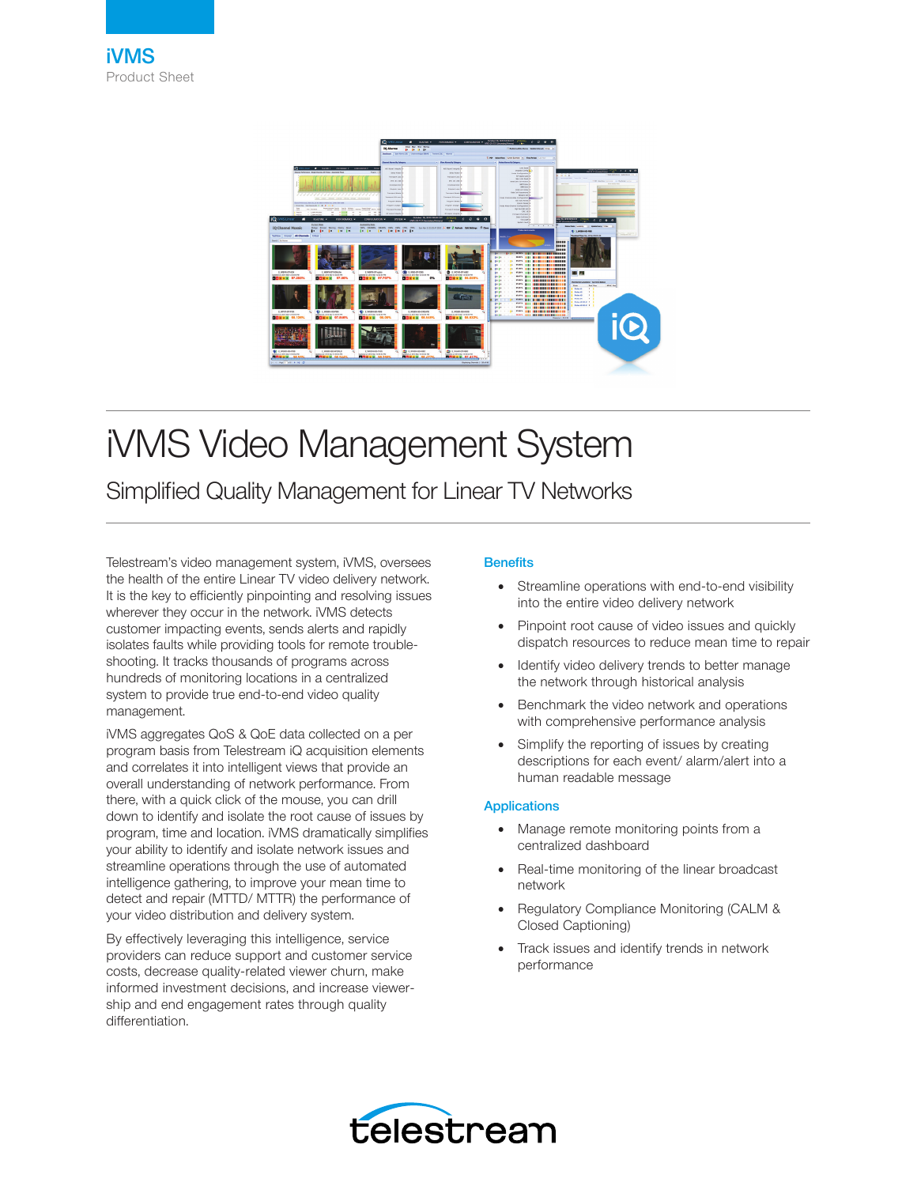

# iVMS Video Management System

Simplified Quality Management for Linear TV Networks

Telestream's video management system, iVMS, oversees the health of the entire Linear TV video delivery network. It is the key to efficiently pinpointing and resolving issues wherever they occur in the network. iVMS detects customer impacting events, sends alerts and rapidly isolates faults while providing tools for remote troubleshooting. It tracks thousands of programs across hundreds of monitoring locations in a centralized system to provide true end-to-end video quality management.

iVMS aggregates QoS & QoE data collected on a per program basis from Telestream iQ acquisition elements and correlates it into intelligent views that provide an overall understanding of network performance. From there, with a quick click of the mouse, you can drill down to identify and isolate the root cause of issues by program, time and location. iVMS dramatically simplifies your ability to identify and isolate network issues and streamline operations through the use of automated intelligence gathering, to improve your mean time to detect and repair (MTTD/ MTTR) the performance of your video distribution and delivery system.

By effectively leveraging this intelligence, service providers can reduce support and customer service costs, decrease quality-related viewer churn, make informed investment decisions, and increase viewership and end engagement rates through quality differentiation.

## **Benefits**

- Streamline operations with end-to-end visibility into the entire video delivery network
- Pinpoint root cause of video issues and quickly dispatch resources to reduce mean time to repair
- Identify video delivery trends to better manage the network through historical analysis
- Benchmark the video network and operations with comprehensive performance analysis
- Simplify the reporting of issues by creating descriptions for each event/ alarm/alert into a human readable message

## Applications

- Manage remote monitoring points from a centralized dashboard
- Real-time monitoring of the linear broadcast network
- Regulatory Compliance Monitoring (CALM & Closed Captioning)
- Track issues and identify trends in network performance